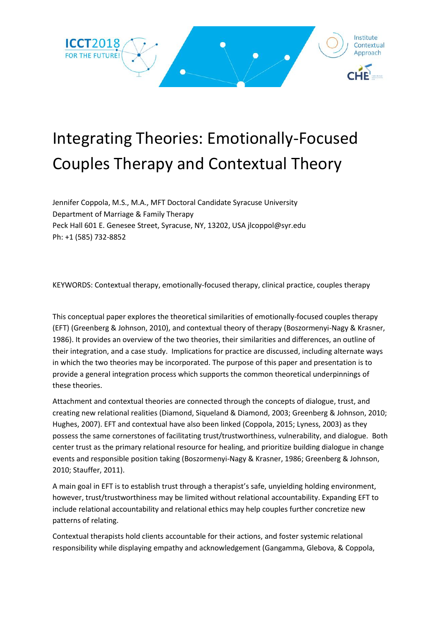

## Integrating Theories: Emotionally-Focused Couples Therapy and Contextual Theory

Jennifer Coppola, M.S., M.A., MFT Doctoral Candidate Syracuse University Department of Marriage & Family Therapy Peck Hall 601 E. Genesee Street, Syracuse, NY, 13202, USA jlcoppol@syr.edu Ph: +1 (585) 732-8852

KEYWORDS: Contextual therapy, emotionally-focused therapy, clinical practice, couples therapy

This conceptual paper explores the theoretical similarities of emotionally-focused couples therapy (EFT) (Greenberg & Johnson, 2010), and contextual theory of therapy (Boszormenyi-Nagy & Krasner, 1986). It provides an overview of the two theories, their similarities and differences, an outline of their integration, and a case study. Implications for practice are discussed, including alternate ways in which the two theories may be incorporated. The purpose of this paper and presentation is to provide a general integration process which supports the common theoretical underpinnings of these theories.

Attachment and contextual theories are connected through the concepts of dialogue, trust, and creating new relational realities (Diamond, Siqueland & Diamond, 2003; Greenberg & Johnson, 2010; Hughes, 2007). EFT and contextual have also been linked (Coppola, 2015; Lyness, 2003) as they possess the same cornerstones of facilitating trust/trustworthiness, vulnerability, and dialogue. Both center trust as the primary relational resource for healing, and prioritize building dialogue in change events and responsible position taking (Boszormenyi-Nagy & Krasner, 1986; Greenberg & Johnson, 2010; Stauffer, 2011).

A main goal in EFT is to establish trust through a therapist's safe, unyielding holding environment, however, trust/trustworthiness may be limited without relational accountability. Expanding EFT to include relational accountability and relational ethics may help couples further concretize new patterns of relating.

Contextual therapists hold clients accountable for their actions, and foster systemic relational responsibility while displaying empathy and acknowledgement (Gangamma, Glebova, & Coppola,